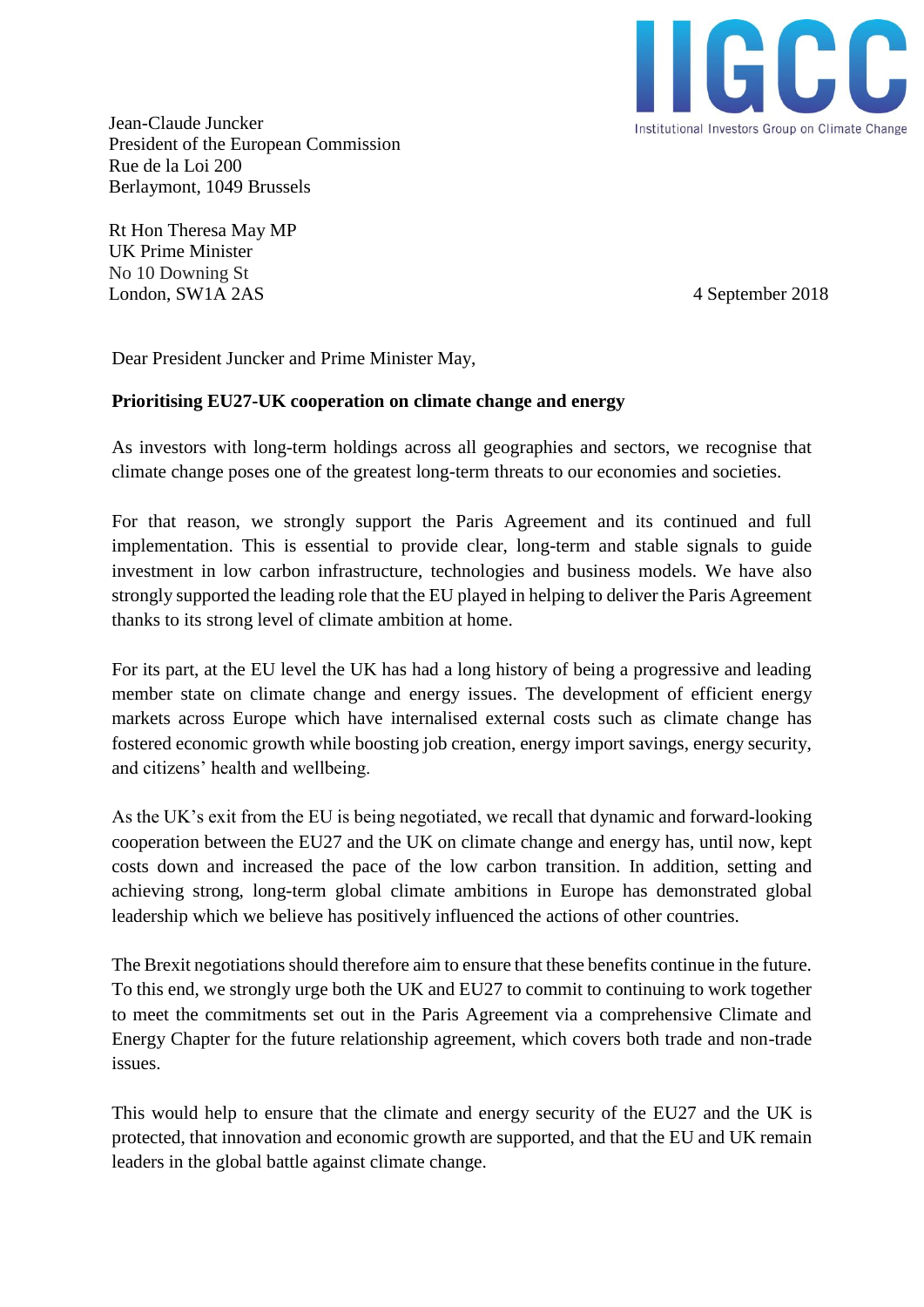

Jean-Claude Juncker President of the European Commission Rue de la Loi 200 Berlaymont, 1049 Brussels

Rt Hon Theresa May MP UK Prime Minister No 10 Downing St London, SW1A 2AS 4 September 2018

Dear President Juncker and Prime Minister May,

## **Prioritising EU27-UK cooperation on climate change and energy**

As investors with long-term holdings across all geographies and sectors, we recognise that climate change poses one of the greatest long-term threats to our economies and societies.

For that reason, we strongly support the Paris Agreement and its continued and full implementation. This is essential to provide clear, long-term and stable signals to guide investment in low carbon infrastructure, technologies and business models. We have also strongly supported the leading role that the EU played in helping to deliver the Paris Agreement thanks to its strong level of climate ambition at home.

For its part, at the EU level the UK has had a long history of being a progressive and leading member state on climate change and energy issues. The development of efficient energy markets across Europe which have internalised external costs such as climate change has fostered economic growth while boosting job creation, energy import savings, energy security, and citizens' health and wellbeing.

As the UK's exit from the EU is being negotiated, we recall that dynamic and forward-looking cooperation between the EU27 and the UK on climate change and energy has, until now, kept costs down and increased the pace of the low carbon transition. In addition, setting and achieving strong, long-term global climate ambitions in Europe has demonstrated global leadership which we believe has positively influenced the actions of other countries.

The Brexit negotiations should therefore aim to ensure that these benefits continue in the future. To this end, we strongly urge both the UK and EU27 to commit to continuing to work together to meet the commitments set out in the Paris Agreement via a comprehensive Climate and Energy Chapter for the future relationship agreement, which covers both trade and non-trade issues.

This would help to ensure that the climate and energy security of the EU27 and the UK is protected, that innovation and economic growth are supported, and that the EU and UK remain leaders in the global battle against climate change.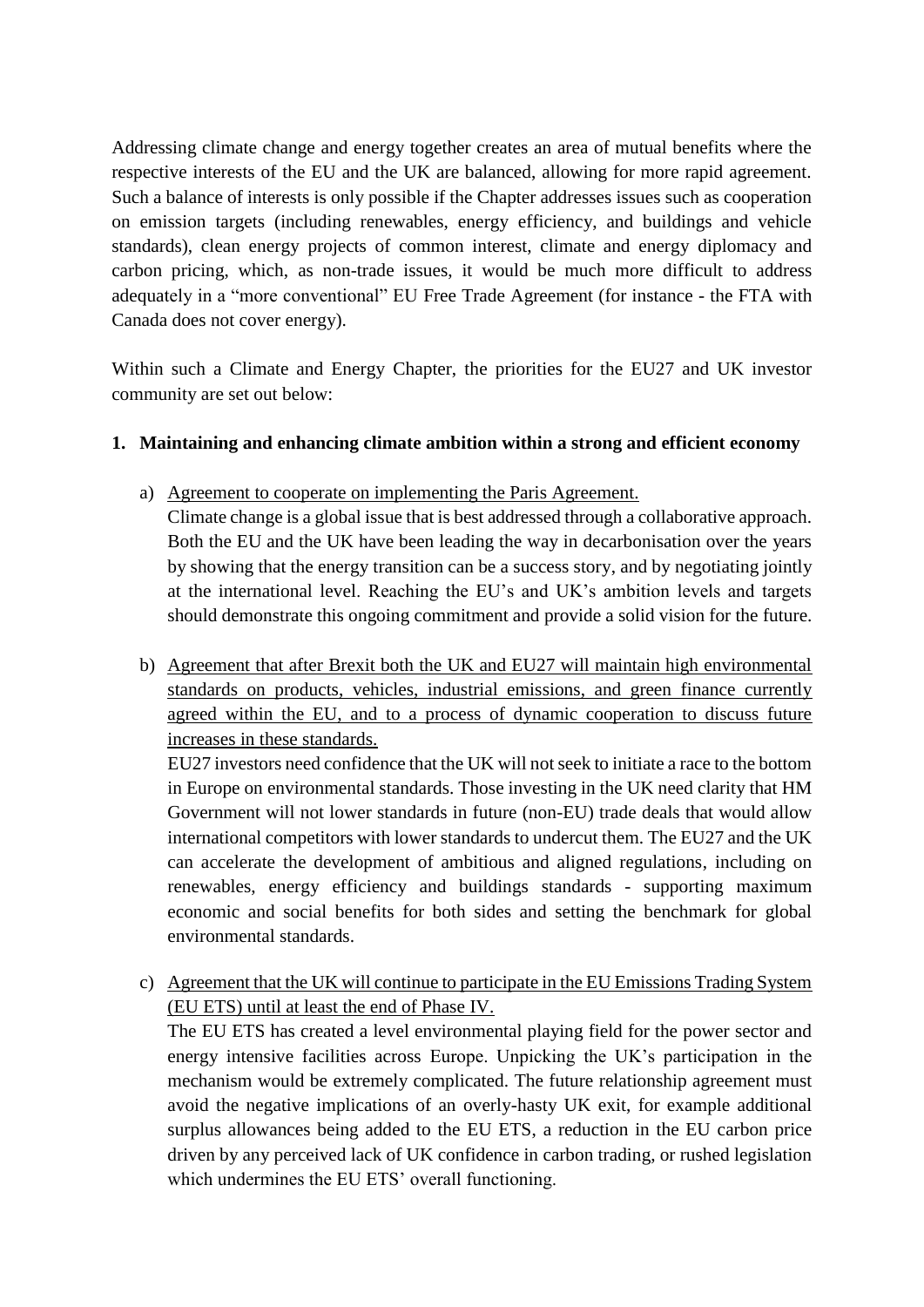Addressing climate change and energy together creates an area of mutual benefits where the respective interests of the EU and the UK are balanced, allowing for more rapid agreement. Such a balance of interests is only possible if the Chapter addresses issues such as cooperation on emission targets (including renewables, energy efficiency, and buildings and vehicle standards), clean energy projects of common interest, climate and energy diplomacy and carbon pricing, which, as non-trade issues, it would be much more difficult to address adequately in a "more conventional" EU Free Trade Agreement (for instance - the FTA with Canada does not cover energy).

Within such a Climate and Energy Chapter, the priorities for the EU27 and UK investor community are set out below:

## **1. Maintaining and enhancing climate ambition within a strong and efficient economy**

a) Agreement to cooperate on implementing the Paris Agreement.

Climate change is a global issue that is best addressed through a collaborative approach. Both the EU and the UK have been leading the way in decarbonisation over the years by showing that the energy transition can be a success story, and by negotiating jointly at the international level. Reaching the EU's and UK's ambition levels and targets should demonstrate this ongoing commitment and provide a solid vision for the future.

b) Agreement that after Brexit both the UK and EU27 will maintain high environmental standards on products, vehicles, industrial emissions, and green finance currently agreed within the EU, and to a process of dynamic cooperation to discuss future increases in these standards.

EU27 investors need confidence that the UK will not seek to initiate a race to the bottom in Europe on environmental standards. Those investing in the UK need clarity that HM Government will not lower standards in future (non-EU) trade deals that would allow international competitors with lower standards to undercut them. The EU27 and the UK can accelerate the development of ambitious and aligned regulations, including on renewables, energy efficiency and buildings standards - supporting maximum economic and social benefits for both sides and setting the benchmark for global environmental standards.

c) Agreement that the UK will continue to participate in the EU Emissions Trading System (EU ETS) until at least the end of Phase IV.

The EU ETS has created a level environmental playing field for the power sector and energy intensive facilities across Europe. Unpicking the UK's participation in the mechanism would be extremely complicated. The future relationship agreement must avoid the negative implications of an overly-hasty UK exit, for example additional surplus allowances being added to the EU ETS, a reduction in the EU carbon price driven by any perceived lack of UK confidence in carbon trading, or rushed legislation which undermines the EU ETS' overall functioning.